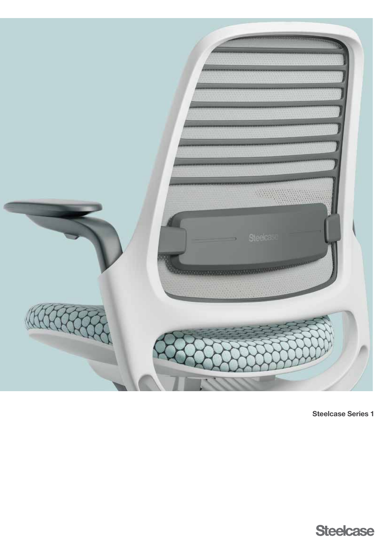

Steelcase Series 1

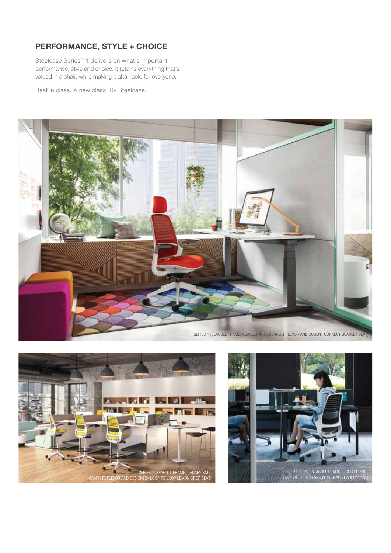# PERFORMANCE, STYLE + CHOICE

Steelcase Series™ 1 delivers on what's important performance, style and choice. It retains everything that's valued in a chair, while making it attainable for everyone.

Best in class. A new class. By Steelcase.





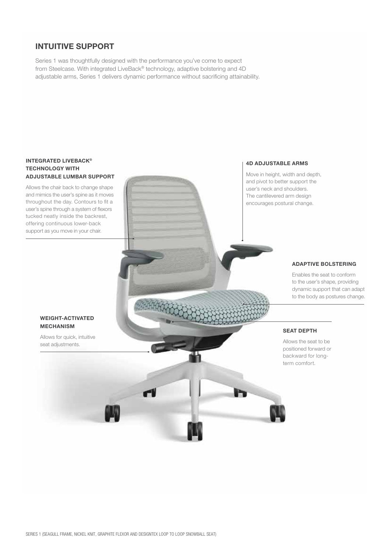# INTUITIVE SUPPORT

Series 1 was thoughtfully designed with the performance you've come to expect from Steelcase. With integrated LiveBack® technology, adaptive bolstering and 4D adjustable arms, Series 1 delivers dynamic performance without sacrificing attainability.

### INTEGRATED LIVEBACK® TECHNOLOGY WITH ADJUSTABLE LUMBAR SUPPORT

Allows the chair back to change shape and mimics the user's spine as it moves throughout the day. Contours to fit a user's spine through a system of flexors tucked neatly inside the backrest, offering continuous lower-back support as you move in your chair.

#### 4D ADJUSTABLE ARMS

Move in height, width and depth, and pivot to better support the user's neck and shoulders. The cantilevered arm design encourages postural change.

### ADAPTIVE BOLSTERING

Enables the seat to conform to the user's shape, providing dynamic support that can adapt to the body as postures change.

#### WEIGHT-ACTIVATED MECHANISM

Allows for quick, intuitive seat adjustments.

## SEAT DEPTH

Allows the seat to be positioned forward or backward for longterm comfort.